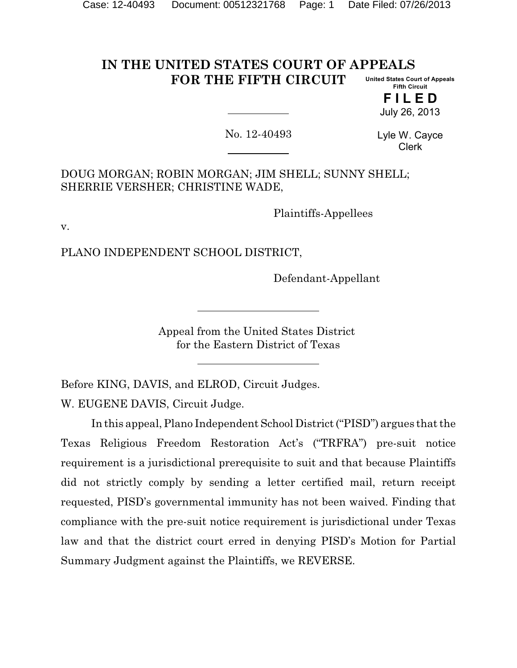#### **IN THE UNITED STATES COURT OF APPEALS FOR THE FIFTH CIRCUIT United States Court of Appeals**

**Fifth Circuit F I L E D**

July 26, 2013

No. 12-40493

Lyle W. Cayce Clerk

DOUG MORGAN; ROBIN MORGAN; JIM SHELL; SUNNY SHELL; SHERRIE VERSHER; CHRISTINE WADE,

Plaintiffs-Appellees

v.

PLANO INDEPENDENT SCHOOL DISTRICT,

Defendant-Appellant

Appeal from the United States District for the Eastern District of Texas

Before KING, DAVIS, and ELROD, Circuit Judges. W. EUGENE DAVIS, Circuit Judge.

In this appeal, Plano Independent School District ("PISD") argues that the Texas Religious Freedom Restoration Act's ("TRFRA") pre-suit notice requirement is a jurisdictional prerequisite to suit and that because Plaintiffs did not strictly comply by sending a letter certified mail, return receipt requested, PISD's governmental immunity has not been waived. Finding that compliance with the pre-suit notice requirement is jurisdictional under Texas law and that the district court erred in denying PISD's Motion for Partial Summary Judgment against the Plaintiffs, we REVERSE.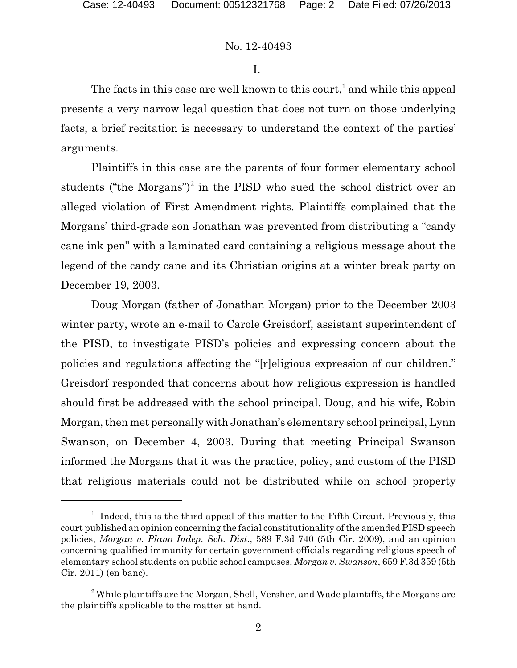I.

The facts in this case are well known to this court,<sup>1</sup> and while this appeal presents a very narrow legal question that does not turn on those underlying facts, a brief recitation is necessary to understand the context of the parties' arguments.

Plaintiffs in this case are the parents of four former elementary school students ("the Morgans")<sup>2</sup> in the PISD who sued the school district over an alleged violation of First Amendment rights. Plaintiffs complained that the Morgans' third-grade son Jonathan was prevented from distributing a "candy cane ink pen" with a laminated card containing a religious message about the legend of the candy cane and its Christian origins at a winter break party on December 19, 2003.

Doug Morgan (father of Jonathan Morgan) prior to the December 2003 winter party, wrote an e-mail to Carole Greisdorf, assistant superintendent of the PISD, to investigate PISD's policies and expressing concern about the policies and regulations affecting the "[r]eligious expression of our children." Greisdorf responded that concerns about how religious expression is handled should first be addressed with the school principal. Doug, and his wife, Robin Morgan, then met personally with Jonathan's elementary school principal, Lynn Swanson, on December 4, 2003. During that meeting Principal Swanson informed the Morgans that it was the practice, policy, and custom of the PISD that religious materials could not be distributed while on school property

<sup>&</sup>lt;sup>1</sup> Indeed, this is the third appeal of this matter to the Fifth Circuit. Previously, this court published an opinion concerning the facial constitutionality ofthe amended PISD speech policies, *Morgan v. Plano Indep. Sch. Dist*., 589 F.3d 740 (5th Cir. 2009), and an opinion concerning qualified immunity for certain government officials regarding religious speech of elementary school students on public school campuses, *Morgan v. Swanson*, 659 F.3d 359 (5th Cir. 2011) (en banc).

 $2$ <sup>2</sup> While plaintiffs are the Morgan, Shell, Versher, and Wade plaintiffs, the Morgans are the plaintiffs applicable to the matter at hand.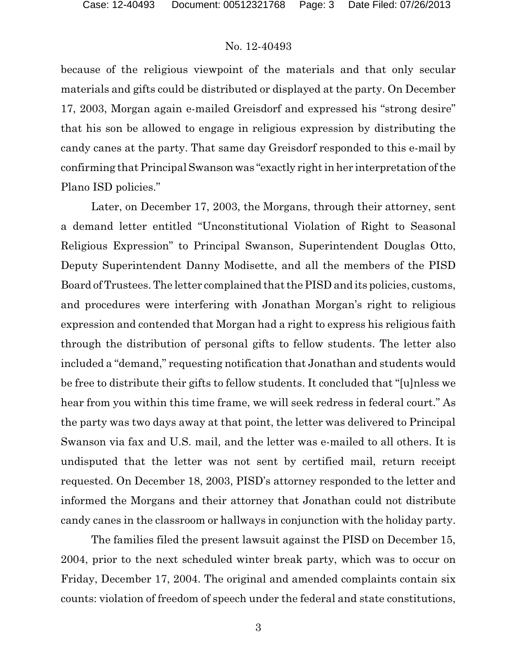because of the religious viewpoint of the materials and that only secular materials and gifts could be distributed or displayed at the party. On December 17, 2003, Morgan again e-mailed Greisdorf and expressed his "strong desire" that his son be allowed to engage in religious expression by distributing the candy canes at the party. That same day Greisdorf responded to this e-mail by confirming that PrincipalSwanson was "exactly right in her interpretation of the Plano ISD policies."

Later, on December 17, 2003, the Morgans, through their attorney, sent a demand letter entitled "Unconstitutional Violation of Right to Seasonal Religious Expression" to Principal Swanson, Superintendent Douglas Otto, Deputy Superintendent Danny Modisette, and all the members of the PISD Board of Trustees. The letter complained that the PISD and its policies, customs, and procedures were interfering with Jonathan Morgan's right to religious expression and contended that Morgan had a right to express his religious faith through the distribution of personal gifts to fellow students. The letter also included a "demand," requesting notification that Jonathan and students would be free to distribute their gifts to fellow students. It concluded that "[u]nless we hear from you within this time frame, we will seek redress in federal court." As the party was two days away at that point, the letter was delivered to Principal Swanson via fax and U.S. mail, and the letter was e-mailed to all others. It is undisputed that the letter was not sent by certified mail, return receipt requested. On December 18, 2003, PISD's attorney responded to the letter and informed the Morgans and their attorney that Jonathan could not distribute candy canes in the classroom or hallways in conjunction with the holiday party.

The families filed the present lawsuit against the PISD on December 15, 2004, prior to the next scheduled winter break party, which was to occur on Friday, December 17, 2004. The original and amended complaints contain six counts: violation of freedom of speech under the federal and state constitutions,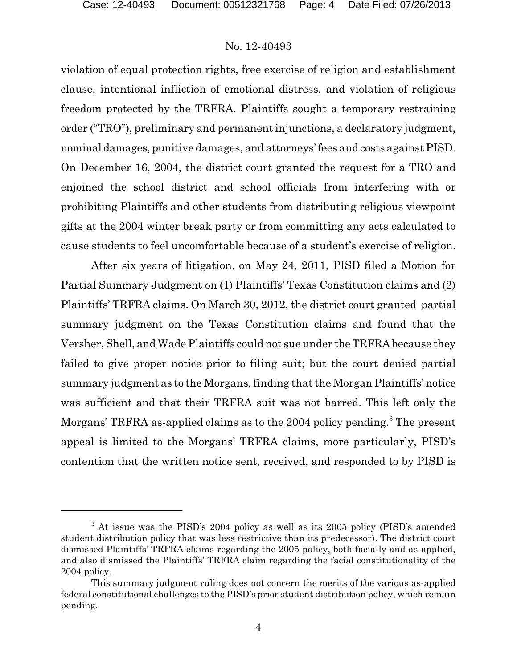violation of equal protection rights, free exercise of religion and establishment clause, intentional infliction of emotional distress, and violation of religious freedom protected by the TRFRA. Plaintiffs sought a temporary restraining order ("TRO"), preliminary and permanent injunctions, a declaratory judgment, nominal damages, punitive damages, and attorneys' fees and costs against PISD. On December 16, 2004, the district court granted the request for a TRO and enjoined the school district and school officials from interfering with or prohibiting Plaintiffs and other students from distributing religious viewpoint gifts at the 2004 winter break party or from committing any acts calculated to cause students to feel uncomfortable because of a student's exercise of religion.

After six years of litigation, on May 24, 2011, PISD filed a Motion for Partial Summary Judgment on (1) Plaintiffs' Texas Constitution claims and (2) Plaintiffs' TRFRA claims. On March 30, 2012, the district court granted partial summary judgment on the Texas Constitution claims and found that the Versher, Shell, and Wade Plaintiffs could not sue under theTRFRA because they failed to give proper notice prior to filing suit; but the court denied partial summary judgment as to the Morgans, finding that the Morgan Plaintiffs' notice was sufficient and that their TRFRA suit was not barred. This left only the Morgans' TRFRA as-applied claims as to the 2004 policy pending.<sup>3</sup> The present appeal is limited to the Morgans' TRFRA claims, more particularly, PISD's contention that the written notice sent, received, and responded to by PISD is

<sup>&</sup>lt;sup>3</sup> At issue was the PISD's 2004 policy as well as its 2005 policy (PISD's amended student distribution policy that was less restrictive than its predecessor). The district court dismissed Plaintiffs' TRFRA claims regarding the 2005 policy, both facially and as-applied, and also dismissed the Plaintiffs' TRFRA claim regarding the facial constitutionality of the 2004 policy.

This summary judgment ruling does not concern the merits of the various as-applied federal constitutional challenges to the PISD's prior student distribution policy, which remain pending.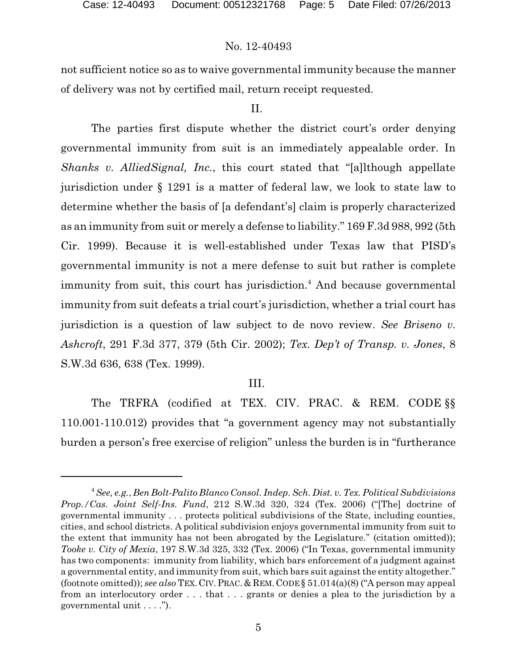not sufficient notice so as to waive governmental immunity because the manner of delivery was not by certified mail, return receipt requested.

# II.

The parties first dispute whether the district court's order denying governmental immunity from suit is an immediately appealable order. In *Shanks v. AlliedSignal, Inc.*, this court stated that "[a]lthough appellate jurisdiction under § 1291 is a matter of federal law, we look to state law to determine whether the basis of [a defendant's] claim is properly characterized as an immunity from suit or merely a defense to liability." 169 F.3d 988, 992 (5th Cir. 1999). Because it is well-established under Texas law that PISD's governmental immunity is not a mere defense to suit but rather is complete immunity from suit, this court has jurisdiction.<sup>4</sup> And because governmental immunity from suit defeats a trial court's jurisdiction, whether a trial court has jurisdiction is a question of law subject to de novo review. *See Briseno v. Ashcroft*, 291 F.3d 377, 379 (5th Cir. 2002); *Tex. Dep't of Transp. v. Jones*, 8 S.W.3d 636, 638 (Tex. 1999).

# III.

The TRFRA (codified at TEX. CIV. PRAC. & REM. CODE §§ 110.001-110.012) provides that "a government agency may not substantially burden a person's free exercise of religion" unless the burden is in "furtherance

<sup>4</sup>*See, e.g.*, *Ben Bolt-Palito Blanco Consol. Indep. Sch. Dist. v.Tex. Political Subdivisions Prop./Cas. Joint Self-Ins. Fund*, 212 S.W.3d 320, 324 (Tex. 2006) ("[The] doctrine of governmental immunity . . . protects political subdivisions of the State, including counties, cities, and school districts. A political subdivision enjoys governmental immunity from suit to the extent that immunity has not been abrogated by the Legislature." (citation omitted)); *Tooke v. City of Mexia*, 197 S.W.3d 325, 332 (Tex. 2006) ("In Texas, governmental immunity has two components: immunity from liability, which bars enforcement of a judgment against a governmental entity, and immunity from suit, which bars suit against the entity altogether." (footnote omitted)); *see also* TEX. CIV.PRAC. & REM. CODE § 51.014(a)(8) ("A person may appeal from an interlocutory order . . . that . . . grants or denies a plea to the jurisdiction by a governmental unit . . . .").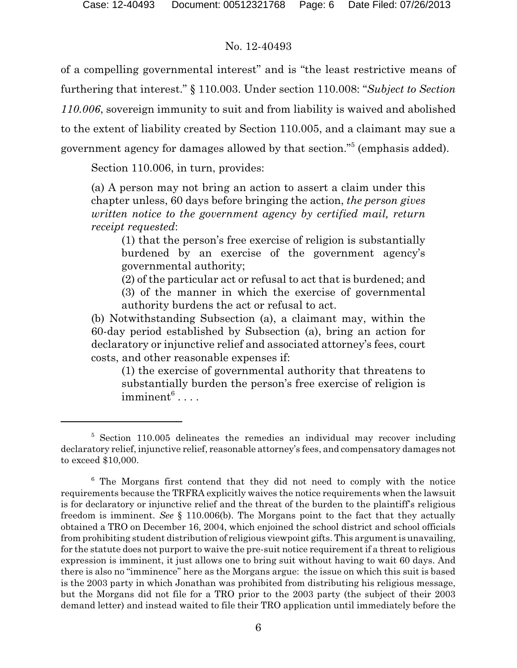of a compelling governmental interest" and is "the least restrictive means of furthering that interest." § 110.003. Under section 110.008: "*Subject to Section 110.006*, sovereign immunity to suit and from liability is waived and abolished to the extent of liability created by Section 110.005, and a claimant may sue a government agency for damages allowed by that section."<sup>5</sup> (emphasis added).

Section 110.006, in turn, provides:

(a) A person may not bring an action to assert a claim under this chapter unless, 60 days before bringing the action, *the person gives written notice to the government agency by certified mail, return receipt requested*:

(1) that the person's free exercise of religion is substantially burdened by an exercise of the government agency's governmental authority;

(2) of the particular act or refusal to act that is burdened; and

(3) of the manner in which the exercise of governmental authority burdens the act or refusal to act.

(b) Notwithstanding Subsection (a), a claimant may, within the 60-day period established by Subsection (a), bring an action for declaratory or injunctive relief and associated attorney's fees, court costs, and other reasonable expenses if:

(1) the exercise of governmental authority that threatens to substantially burden the person's free exercise of religion is  $\text{imminent}^6 \dots$  .

<sup>5</sup> Section 110.005 delineates the remedies an individual may recover including declaratory relief, injunctive relief, reasonable attorney's fees, and compensatory damages not to exceed \$10,000.

<sup>6</sup> The Morgans first contend that they did not need to comply with the notice requirements because the TRFRA explicitly waives the notice requirements when the lawsuit is for declaratory or injunctive relief and the threat of the burden to the plaintiff's religious freedom is imminent. *See* § 110.006(b). The Morgans point to the fact that they actually obtained a TRO on December 16, 2004, which enjoined the school district and school officials from prohibiting student distribution of religious viewpoint gifts. This argument is unavailing, for the statute does not purport to waive the pre-suit notice requirement if a threat to religious expression is imminent, it just allows one to bring suit without having to wait 60 days. And there is also no "imminence" here as the Morgans argue: the issue on which this suit is based is the 2003 party in which Jonathan was prohibited from distributing his religious message, but the Morgans did not file for a TRO prior to the 2003 party (the subject of their 2003 demand letter) and instead waited to file their TRO application until immediately before the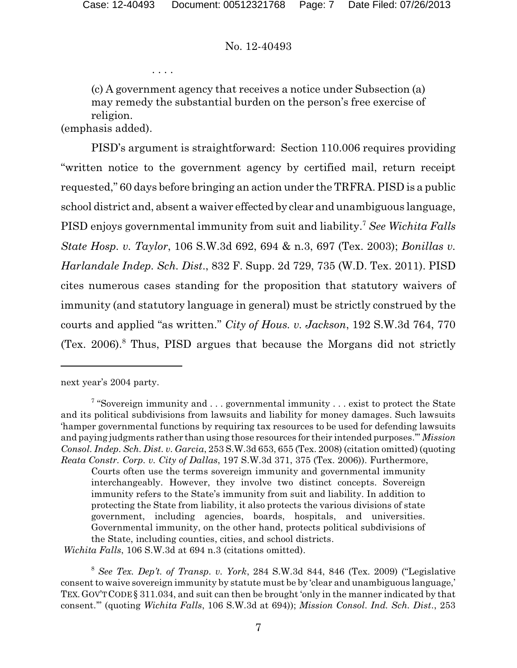. . . .

(c) A government agency that receives a notice under Subsection (a) may remedy the substantial burden on the person's free exercise of religion.

(emphasis added).

PISD's argument is straightforward: Section 110.006 requires providing "written notice to the government agency by certified mail, return receipt requested," 60 days before bringing an action under the TRFRA. PISD is a public school district and, absent a waiver effected by clear and unambiguous language, PISD enjoys governmental immunity from suit and liability.<sup>7</sup> *See Wichita Falls State Hosp. v. Taylor*, 106 S.W.3d 692, 694 & n.3, 697 (Tex. 2003); *Bonillas v. Harlandale Indep. Sch. Dist*., 832 F. Supp. 2d 729, 735 (W.D. Tex. 2011). PISD cites numerous cases standing for the proposition that statutory waivers of immunity (and statutory language in general) must be strictly construed by the courts and applied "as written." *City of Hous. v. Jackson*, 192 S.W.3d 764, 770 (Tex. 2006).<sup>8</sup> Thus, PISD argues that because the Morgans did not strictly

*Wichita Falls*, 106 S.W.3d at 694 n.3 (citations omitted).

next year's 2004 party.

<sup>&</sup>lt;sup>7</sup> "Sovereign immunity and . . . governmental immunity . . . exist to protect the State and its political subdivisions from lawsuits and liability for money damages. Such lawsuits 'hamper governmental functions by requiring tax resources to be used for defending lawsuits and paying judgments rather than using those resources for their intended purposes.'" *Mission Consol. Indep. Sch. Dist. v. Garcia*, 253 S.W.3d 653, 655 (Tex. 2008) (citation omitted) (quoting *Reata Constr. Corp. v. City of Dallas*, 197 S.W.3d 371, 375 (Tex. 2006)). Furthermore,

Courts often use the terms sovereign immunity and governmental immunity interchangeably. However, they involve two distinct concepts. Sovereign immunity refers to the State's immunity from suit and liability. In addition to protecting the State from liability, it also protects the various divisions of state government, including agencies, boards, hospitals, and universities. Governmental immunity, on the other hand, protects political subdivisions of the State, including counties, cities, and school districts.

<sup>8</sup> *See Tex. Dep't. of Transp. v. York*, 284 S.W.3d 844, 846 (Tex. 2009) ("Legislative consent to waive sovereign immunity by statute must be by 'clear and unambiguous language,' TEX.GOV'TCODE § 311.034, and suit can then be brought 'only in the manner indicated by that consent.'" (quoting *Wichita Falls*, 106 S.W.3d at 694)); *Mission Consol. Ind. Sch. Dist*., 253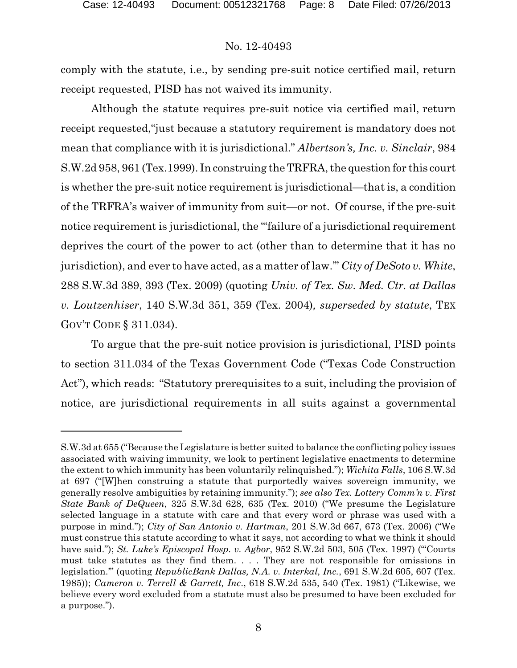comply with the statute, i.e., by sending pre-suit notice certified mail, return receipt requested, PISD has not waived its immunity.

Although the statute requires pre-suit notice via certified mail, return receipt requested,"just because a statutory requirement is mandatory does not mean that compliance with it is jurisdictional." *Albertson's, Inc. v. Sinclair*, 984 S.W.2d 958, 961 (Tex.1999). In construing the TRFRA, the question for this court is whether the pre-suit notice requirement is jurisdictional—that is, a condition of the TRFRA's waiver of immunity from suit—or not. Of course, if the pre-suit notice requirement is jurisdictional, the "'failure of a jurisdictional requirement deprives the court of the power to act (other than to determine that it has no jurisdiction), and ever to have acted, as a matter of law.'" *City of DeSoto v. White*, 288 S.W.3d 389, 393 (Tex. 2009) (quoting *Univ. of Tex. Sw. Med. Ctr. at Dallas v. Loutzenhiser*, 140 S.W.3d 351, 359 (Tex. 2004)*, superseded by statute*, TEX GOV'T CODE § 311.034).

To argue that the pre-suit notice provision is jurisdictional, PISD points to section 311.034 of the Texas Government Code ("Texas Code Construction Act"), which reads: "Statutory prerequisites to a suit, including the provision of notice, are jurisdictional requirements in all suits against a governmental

S.W.3d at 655 ("Because the Legislature is better suited to balance the conflicting policy issues associated with waiving immunity, we look to pertinent legislative enactments to determine the extent to which immunity has been voluntarily relinquished."); *Wichita Falls*, 106 S.W.3d at 697 ("[W]hen construing a statute that purportedly waives sovereign immunity, we generally resolve ambiguities by retaining immunity."); *see also Tex. Lottery Comm'n v. First State Bank of DeQueen*, 325 S.W.3d 628, 635 (Tex. 2010) ("We presume the Legislature selected language in a statute with care and that every word or phrase was used with a purpose in mind."); *City of San Antonio v. Hartman*, 201 S.W.3d 667, 673 (Tex. 2006) ("We must construe this statute according to what it says, not according to what we think it should have said."); *St. Luke's Episcopal Hosp. v. Agbor*, 952 S.W.2d 503, 505 (Tex. 1997) ("'Courts must take statutes as they find them. . . . They are not responsible for omissions in legislation.'" (quoting *RepublicBank Dallas, N.A. v. Interkal, Inc.*, 691 S.W.2d 605, 607 (Tex. 1985)); *Cameron v. Terrell & Garrett, Inc*., 618 S.W.2d 535, 540 (Tex. 1981) ("Likewise, we believe every word excluded from a statute must also be presumed to have been excluded for a purpose.").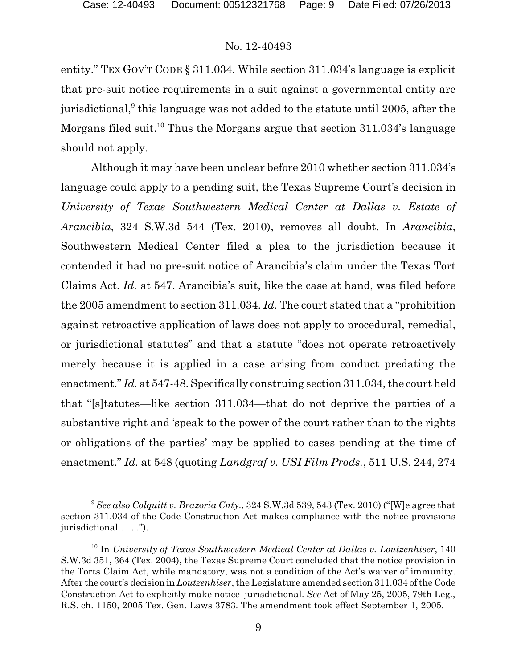entity." TEX GOV'T CODE § 311.034. While section 311.034's language is explicit that pre-suit notice requirements in a suit against a governmental entity are jurisdictional, $^9$  this language was not added to the statute until 2005, after the Morgans filed suit.<sup>10</sup> Thus the Morgans argue that section  $311.034$ 's language should not apply.

Although it may have been unclear before 2010 whether section 311.034's language could apply to a pending suit, the Texas Supreme Court's decision in *University of Texas Southwestern Medical Center at Dallas v. Estate of Arancibia*, 324 S.W.3d 544 (Tex. 2010), removes all doubt. In *Arancibia*, Southwestern Medical Center filed a plea to the jurisdiction because it contended it had no pre-suit notice of Arancibia's claim under the Texas Tort Claims Act. *Id.* at 547. Arancibia's suit, like the case at hand, was filed before the 2005 amendment to section 311.034. *Id.* The court stated that a "prohibition against retroactive application of laws does not apply to procedural, remedial, or jurisdictional statutes" and that a statute "does not operate retroactively merely because it is applied in a case arising from conduct predating the enactment." *Id.* at 547-48. Specifically construing section 311.034, the court held that "[s]tatutes—like section 311.034—that do not deprive the parties of a substantive right and 'speak to the power of the court rather than to the rights or obligations of the parties' may be applied to cases pending at the time of enactment." *Id.* at 548 (quoting *Landgraf v. USI Film Prods.*, 511 U.S. 244, 274

<sup>9</sup> *See also Colquitt v. Brazoria Cnty*., 324 S.W.3d 539, 543 (Tex. 2010) ("[W]e agree that section 311.034 of the Code Construction Act makes compliance with the notice provisions jurisdictional . . . .").

<sup>10</sup> In *University of Texas Southwestern Medical Center at Dallas v. Loutzenhiser*, 140 S.W.3d 351, 364 (Tex. 2004), the Texas Supreme Court concluded that the notice provision in the Torts Claim Act, while mandatory, was not a condition of the Act's waiver of immunity. After the court's decision in *Loutzenhiser*, the Legislature amended section 311.034 of the Code Construction Act to explicitly make notice jurisdictional. *See* Act of May 25, 2005, 79th Leg., R.S. ch. 1150, 2005 Tex. Gen. Laws 3783. The amendment took effect September 1, 2005.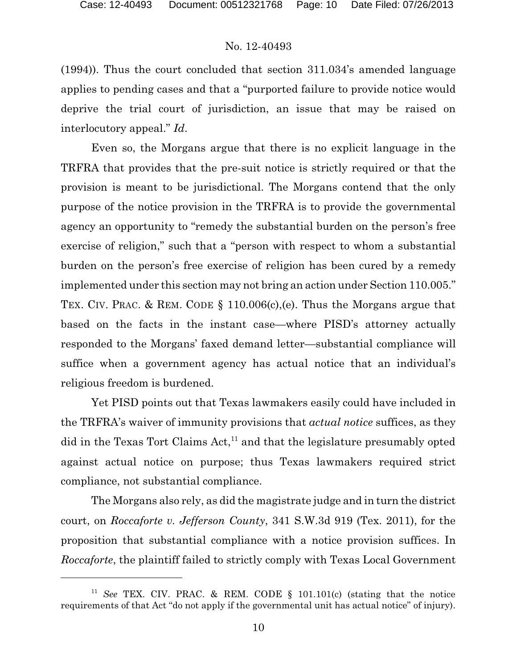(1994)). Thus the court concluded that section 311.034's amended language applies to pending cases and that a "purported failure to provide notice would deprive the trial court of jurisdiction, an issue that may be raised on interlocutory appeal." *Id*.

Even so, the Morgans argue that there is no explicit language in the TRFRA that provides that the pre-suit notice is strictly required or that the provision is meant to be jurisdictional. The Morgans contend that the only purpose of the notice provision in the TRFRA is to provide the governmental agency an opportunity to "remedy the substantial burden on the person's free exercise of religion," such that a "person with respect to whom a substantial burden on the person's free exercise of religion has been cured by a remedy implemented under this section may not bring an action under Section 110.005." TEX. CIV. PRAC. & REM. CODE § 110.006(c),(e). Thus the Morgans argue that based on the facts in the instant case—where PISD's attorney actually responded to the Morgans' faxed demand letter—substantial compliance will suffice when a government agency has actual notice that an individual's religious freedom is burdened.

Yet PISD points out that Texas lawmakers easily could have included in the TRFRA's waiver of immunity provisions that *actual notice* suffices, as they did in the Texas Tort Claims Act,<sup>11</sup> and that the legislature presumably opted against actual notice on purpose; thus Texas lawmakers required strict compliance, not substantial compliance.

The Morgans also rely, as did the magistrate judge and in turn the district court, on *Roccaforte v. Jefferson County*, 341 S.W.3d 919 (Tex. 2011), for the proposition that substantial compliance with a notice provision suffices. In *Roccaforte*, the plaintiff failed to strictly comply with Texas Local Government

<sup>11</sup> *See* TEX. CIV. PRAC. & REM. CODE § 101.101(c) (stating that the notice requirements of that Act "do not apply if the governmental unit has actual notice" of injury).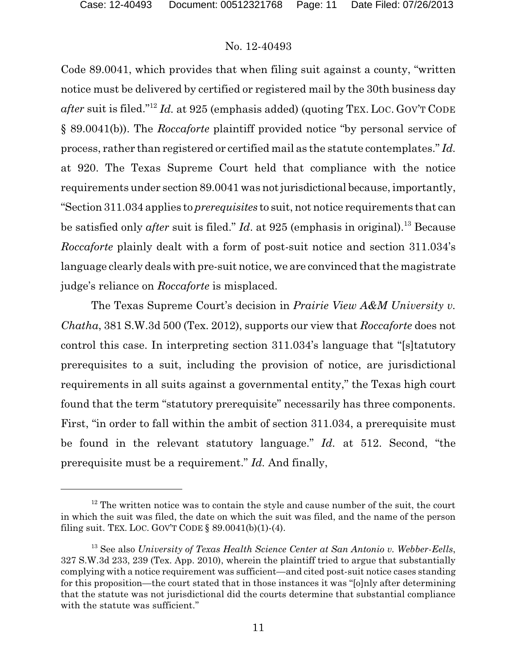Code 89.0041, which provides that when filing suit against a county, "written notice must be delivered by certified or registered mail by the 30th business day *after* suit is filed."<sup>12</sup> *Id.* at 925 (emphasis added) (quoting TEX. LOC. GOV'T CODE § 89.0041(b)). The *Roccaforte* plaintiff provided notice "by personal service of process, rather than registered or certified mail as the statute contemplates." *Id.* at 920. The Texas Supreme Court held that compliance with the notice requirements under section 89.0041 was not jurisdictional because, importantly, "Section 311.034 applies to *prerequisites* to suit, not notice requirements that can be satisfied only *after* suit is filed." *Id*. at 925 (emphasis in original).<sup>13</sup> Because *Roccaforte* plainly dealt with a form of post-suit notice and section 311.034's language clearly deals with pre-suit notice, we are convinced that the magistrate judge's reliance on *Roccaforte* is misplaced.

The Texas Supreme Court's decision in *Prairie View A&M University v. Chatha*, 381 S.W.3d 500 (Tex. 2012), supports our view that *Roccaforte* does not control this case. In interpreting section 311.034's language that "[s]tatutory prerequisites to a suit, including the provision of notice, are jurisdictional requirements in all suits against a governmental entity," the Texas high court found that the term "statutory prerequisite" necessarily has three components. First, "in order to fall within the ambit of section 311.034, a prerequisite must be found in the relevant statutory language." *Id.* at 512. Second, "the prerequisite must be a requirement." *Id.* And finally,

 $12$  The written notice was to contain the style and cause number of the suit, the court in which the suit was filed, the date on which the suit was filed, and the name of the person filing suit. TEX. LOC. GOV'T CODE  $\S$  89.0041(b)(1)-(4).

<sup>13</sup> See also *University of Texas Health Science Center at San Antonio v. Webber-Eells*, 327 S.W.3d 233, 239 (Tex. App. 2010), wherein the plaintiff tried to argue that substantially complying with a notice requirement was sufficient—and cited post-suit notice cases standing for this proposition—the court stated that in those instances it was "[o]nly after determining that the statute was not jurisdictional did the courts determine that substantial compliance with the statute was sufficient."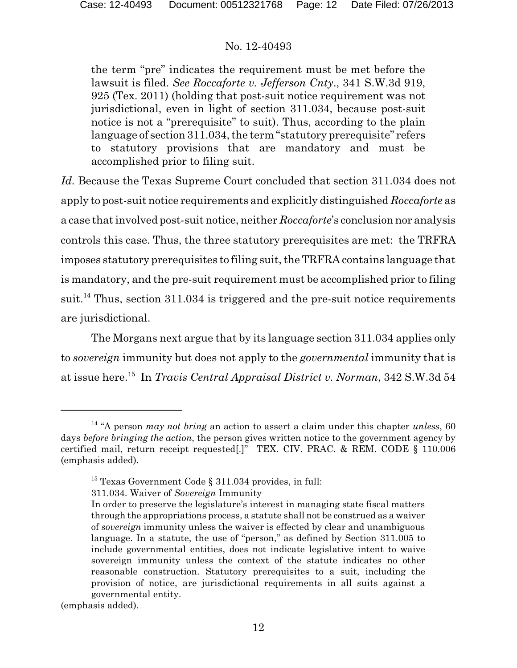the term "pre" indicates the requirement must be met before the lawsuit is filed. *See Roccaforte v. Jefferson Cnty*., 341 S.W.3d 919, 925 (Tex. 2011) (holding that post-suit notice requirement was not jurisdictional, even in light of section 311.034, because post-suit notice is not a "prerequisite" to suit). Thus, according to the plain language of section 311.034, the term "statutory prerequisite" refers to statutory provisions that are mandatory and must be accomplished prior to filing suit.

*Id.* Because the Texas Supreme Court concluded that section 311.034 does not apply to post-suit notice requirements and explicitly distinguished *Roccaforte* as a case that involved post-suit notice, neither *Roccaforte*'s conclusion nor analysis controls this case. Thus, the three statutory prerequisites are met: the TRFRA imposes statutory prerequisites to filing suit, the TRFRA contains language that is mandatory, and the pre-suit requirement must be accomplished prior to filing suit.<sup>14</sup> Thus, section 311.034 is triggered and the pre-suit notice requirements are jurisdictional.

The Morgans next argue that by its language section 311.034 applies only to *sovereign* immunity but does not apply to the *governmental* immunity that is at issue here.<sup>15</sup> In *Travis Central Appraisal District v. Norman*, 342 S.W.3d 54

(emphasis added).

<sup>14</sup> "A person *may not bring* an action to assert a claim under this chapter *unless*, 60 days *before bringing the action*, the person gives written notice to the government agency by certified mail, return receipt requested[.]" TEX. CIV. PRAC. & REM. CODE § 110.006 (emphasis added).

 $15$  Texas Government Code § 311.034 provides, in full:

<sup>311.034.</sup> Waiver of *Sovereign* Immunity

In order to preserve the legislature's interest in managing state fiscal matters through the appropriations process, a statute shall not be construed as a waiver of *sovereign* immunity unless the waiver is effected by clear and unambiguous language. In a statute, the use of "person," as defined by Section 311.005 to include governmental entities, does not indicate legislative intent to waive sovereign immunity unless the context of the statute indicates no other reasonable construction. Statutory prerequisites to a suit, including the provision of notice, are jurisdictional requirements in all suits against a governmental entity.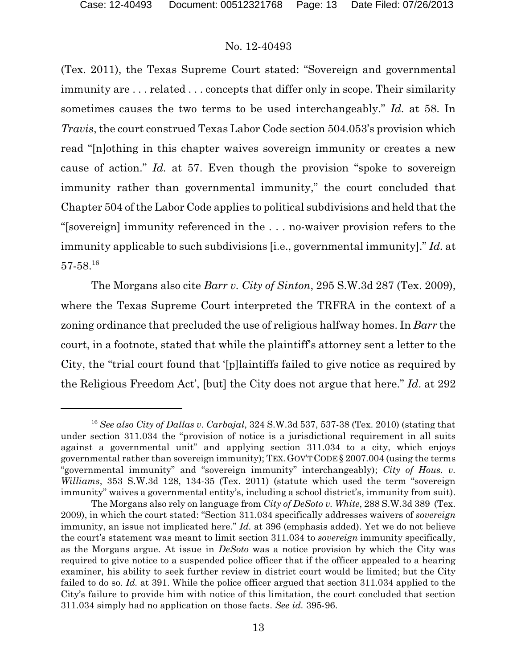(Tex. 2011), the Texas Supreme Court stated: "Sovereign and governmental immunity are . . . related . . . concepts that differ only in scope. Their similarity sometimes causes the two terms to be used interchangeably." *Id.* at 58. In *Travis*, the court construed Texas Labor Code section 504.053's provision which read "[n]othing in this chapter waives sovereign immunity or creates a new cause of action." *Id.* at 57. Even though the provision "spoke to sovereign immunity rather than governmental immunity," the court concluded that Chapter 504 of the Labor Code applies to political subdivisions and held that the "[sovereign] immunity referenced in the . . . no-waiver provision refers to the immunity applicable to such subdivisions [i.e., governmental immunity]." *Id.* at 57-58.<sup>16</sup>

The Morgans also cite *Barr v. City of Sinton*, 295 S.W.3d 287 (Tex. 2009), where the Texas Supreme Court interpreted the TRFRA in the context of a zoning ordinance that precluded the use of religious halfway homes. In *Barr* the court, in a footnote, stated that while the plaintiff's attorney sent a letter to the City, the "trial court found that '[p]laintiffs failed to give notice as required by the Religious Freedom Act', [but] the City does not argue that here." *Id*. at 292

<sup>16</sup> *See also City of Dallas v. Carbajal*, 324 S.W.3d 537, 537-38 (Tex. 2010) (stating that under section 311.034 the "provision of notice is a jurisdictional requirement in all suits against a governmental unit" and applying section 311.034 to a city, which enjoys governmental rather than sovereign immunity); TEX.GOV'TCODE § 2007.004 (using the terms "governmental immunity" and "sovereign immunity" interchangeably); *City of Hous. v. Williams*, 353 S.W.3d 128, 134-35 (Tex. 2011) (statute which used the term "sovereign immunity" waives a governmental entity's, including a school district's, immunity from suit).

The Morgans also rely on language from *City of DeSoto v. White*, 288 S.W.3d 389 (Tex. 2009), in which the court stated: "Section 311.034 specifically addresses waivers of *sovereign* immunity, an issue not implicated here." *Id.* at 396 (emphasis added). Yet we do not believe the court's statement was meant to limit section 311.034 to *sovereign* immunity specifically, as the Morgans argue. At issue in *DeSoto* was a notice provision by which the City was required to give notice to a suspended police officer that if the officer appealed to a hearing examiner, his ability to seek further review in district court would be limited; but the City failed to do so. *Id.* at 391. While the police officer argued that section 311.034 applied to the City's failure to provide him with notice of this limitation, the court concluded that section 311.034 simply had no application on those facts. *See id.* 395-96.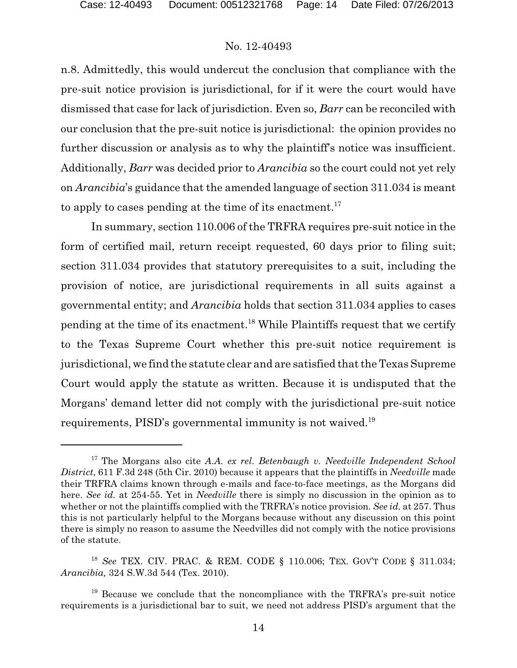n.8. Admittedly, this would undercut the conclusion that compliance with the pre-suit notice provision is jurisdictional, for if it were the court would have dismissed that case for lack of jurisdiction. Even so, *Barr* can be reconciled with our conclusion that the pre-suit notice is jurisdictional: the opinion provides no further discussion or analysis as to why the plaintiff's notice was insufficient. Additionally, *Barr* was decided prior to *Arancibia* so the court could not yet rely on *Arancibia*'s guidance that the amended language of section 311.034 is meant to apply to cases pending at the time of its enactment.<sup>17</sup>

In summary, section 110.006 of the TRFRA requires pre-suit notice in the form of certified mail, return receipt requested, 60 days prior to filing suit; section 311.034 provides that statutory prerequisites to a suit, including the provision of notice, are jurisdictional requirements in all suits against a governmental entity; and *Arancibia* holds that section 311.034 applies to cases pending at the time of its enactment.<sup>18</sup> While Plaintiffs request that we certify to the Texas Supreme Court whether this pre-suit notice requirement is jurisdictional, we find the statute clear and are satisfied that the Texas Supreme Court would apply the statute as written. Because it is undisputed that the Morgans' demand letter did not comply with the jurisdictional pre-suit notice requirements, PISD's governmental immunity is not waived.<sup>19</sup>

<sup>17</sup> The Morgans also cite *A.A. ex rel. Betenbaugh v. Needville Independent School District*, 611 F.3d 248 (5th Cir. 2010) because it appears that the plaintiffs in *Needville* made their TRFRA claims known through e-mails and face-to-face meetings, as the Morgans did here. *See id.* at 254-55. Yet in *Needville* there is simply no discussion in the opinion as to whether or not the plaintiffs complied with the TRFRA's notice provision. *See id.* at 257. Thus this is not particularly helpful to the Morgans because without any discussion on this point there is simply no reason to assume the Needvilles did not comply with the notice provisions of the statute.

<sup>18</sup> *See* TEX. CIV. PRAC. & REM. CODE § 110.006; TEX. GOV'T CODE § 311.034; *Arancibia,* 324 S.W.3d 544 (Tex. 2010).

 $19$  Because we conclude that the noncompliance with the TRFRA's pre-suit notice requirements is a jurisdictional bar to suit, we need not address PISD's argument that the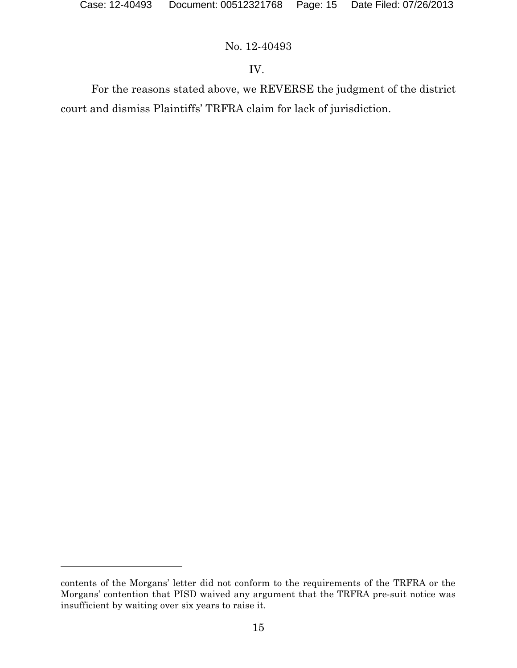# IV.

For the reasons stated above, we REVERSE the judgment of the district court and dismiss Plaintiffs' TRFRA claim for lack of jurisdiction.

contents of the Morgans' letter did not conform to the requirements of the TRFRA or the Morgans' contention that PISD waived any argument that the TRFRA pre-suit notice was insufficient by waiting over six years to raise it.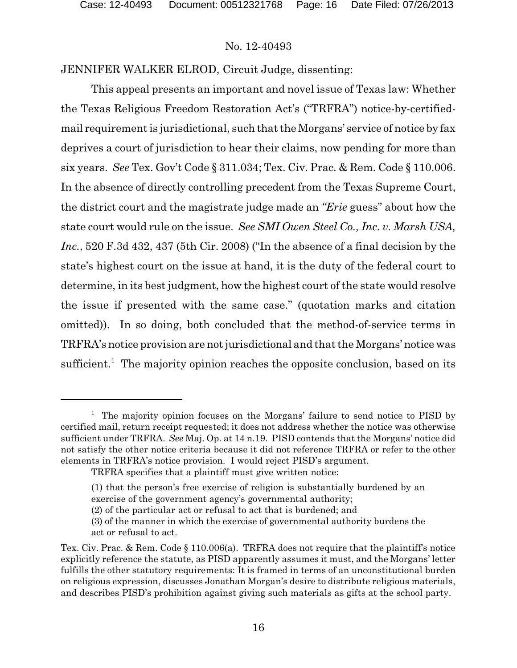JENNIFER WALKER ELROD, Circuit Judge, dissenting:

This appeal presents an important and novel issue of Texas law: Whether the Texas Religious Freedom Restoration Act's ("TRFRA") notice-by-certifiedmail requirement is jurisdictional, such that the Morgans' service of notice by fax deprives a court of jurisdiction to hear their claims, now pending for more than six years. *See* Tex. Gov't Code § 311.034; Tex. Civ. Prac. & Rem. Code § 110.006. In the absence of directly controlling precedent from the Texas Supreme Court, the district court and the magistrate judge made an *"Erie* guess" about how the state court would rule on the issue. *See SMI Owen Steel Co., Inc. v. Marsh USA, Inc.*, 520 F.3d 432, 437 (5th Cir. 2008) ("In the absence of a final decision by the state's highest court on the issue at hand, it is the duty of the federal court to determine, in its best judgment, how the highest court of the state would resolve the issue if presented with the same case." (quotation marks and citation omitted)). In so doing, both concluded that the method-of-service terms in TRFRA's notice provision are not jurisdictional and that the Morgans' notice was sufficient.<sup>1</sup> The majority opinion reaches the opposite conclusion, based on its

<sup>&</sup>lt;sup>1</sup> The majority opinion focuses on the Morgans' failure to send notice to PISD by certified mail, return receipt requested; it does not address whether the notice was otherwise sufficient under TRFRA. *See* Maj. Op. at 14 n.19. PISD contends that the Morgans' notice did not satisfy the other notice criteria because it did not reference TRFRA or refer to the other elements in TRFRA's notice provision. I would reject PISD's argument.

TRFRA specifies that a plaintiff must give written notice:

<sup>(1)</sup> that the person's free exercise of religion is substantially burdened by an exercise of the government agency's governmental authority;

<sup>(2)</sup> of the particular act or refusal to act that is burdened; and

<sup>(3)</sup> of the manner in which the exercise of governmental authority burdens the act or refusal to act.

Tex. Civ. Prac. & Rem. Code § 110.006(a). TRFRA does not require that the plaintiff's notice explicitly reference the statute, as PISD apparently assumes it must, and the Morgans' letter fulfills the other statutory requirements: It is framed in terms of an unconstitutional burden on religious expression, discusses Jonathan Morgan's desire to distribute religious materials, and describes PISD's prohibition against giving such materials as gifts at the school party.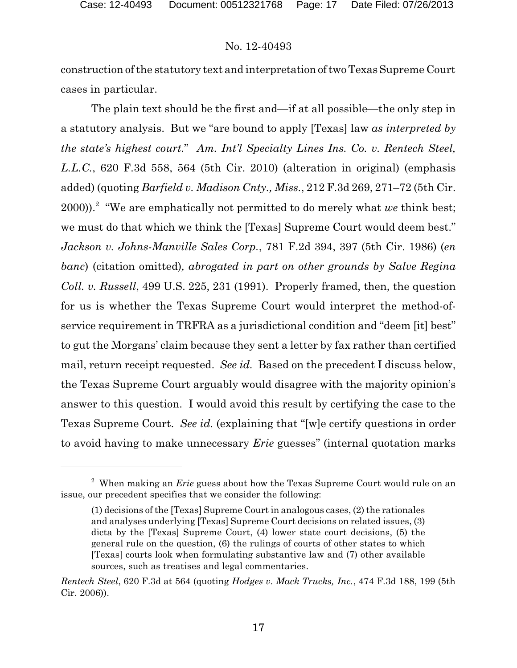construction of the statutory text and interpretation of two Texas Supreme Court cases in particular.

The plain text should be the first and—if at all possible—the only step in a statutory analysis. But we "are bound to apply [Texas] law *as interpreted by the state's highest court.*" *Am. Int'l Specialty Lines Ins. Co. v. Rentech Steel, L.L.C.*, 620 F.3d 558, 564 (5th Cir. 2010) (alteration in original) (emphasis added) (quoting *Barfield v. Madison Cnty., Miss.*, 212 F.3d 269, 271–72 (5th Cir. 2000)).<sup>2</sup> "We are emphatically not permitted to do merely what *we* think best; we must do that which we think the [Texas] Supreme Court would deem best." *Jackson v. Johns-Manville Sales Corp.*, 781 F.2d 394, 397 (5th Cir. 1986) (*en banc*) (citation omitted)*, abrogated in part on other grounds by Salve Regina Coll. v. Russell*, 499 U.S. 225, 231 (1991). Properly framed, then, the question for us is whether the Texas Supreme Court would interpret the method-ofservice requirement in TRFRA as a jurisdictional condition and "deem [it] best" to gut the Morgans' claim because they sent a letter by fax rather than certified mail, return receipt requested. *See id.* Based on the precedent I discuss below, the Texas Supreme Court arguably would disagree with the majority opinion's answer to this question. I would avoid this result by certifying the case to the Texas Supreme Court. *See id.* (explaining that "[w]e certify questions in order to avoid having to make unnecessary *Erie* guesses" (internal quotation marks

<sup>2</sup> When making an *Erie* guess about how the Texas Supreme Court would rule on an issue, our precedent specifies that we consider the following:

 $(1)$  decisions of the [Texas] Supreme Court in analogous cases,  $(2)$  the rationales and analyses underlying [Texas] Supreme Court decisions on related issues, (3) dicta by the [Texas] Supreme Court, (4) lower state court decisions, (5) the general rule on the question, (6) the rulings of courts of other states to which [Texas] courts look when formulating substantive law and (7) other available sources, such as treatises and legal commentaries.

*Rentech Steel*, 620 F.3d at 564 (quoting *Hodges v. Mack Trucks, Inc.*, 474 F.3d 188, 199 (5th Cir. 2006)).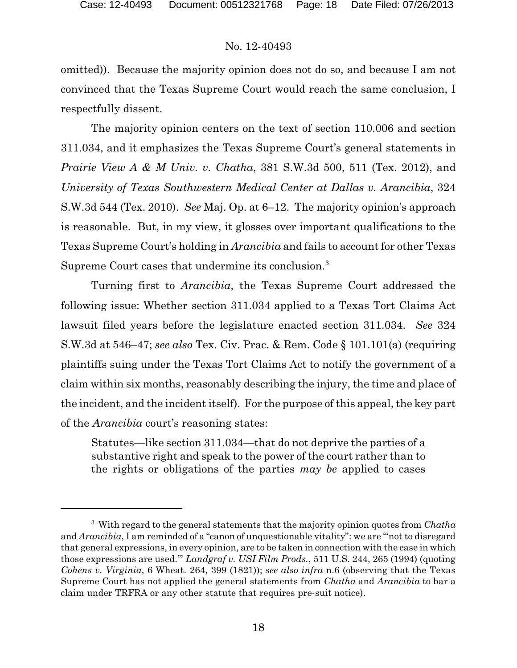omitted)). Because the majority opinion does not do so, and because I am not convinced that the Texas Supreme Court would reach the same conclusion, I respectfully dissent.

The majority opinion centers on the text of section 110.006 and section 311.034, and it emphasizes the Texas Supreme Court's general statements in *Prairie View A & M Univ. v. Chatha*, 381 S.W.3d 500, 511 (Tex. 2012), and *University of Texas Southwestern Medical Center at Dallas v. Arancibia*, 324 S.W.3d 544 (Tex. 2010). *See* Maj. Op. at 6–12. The majority opinion's approach is reasonable. But, in my view, it glosses over important qualifications to the Texas Supreme Court's holding in *Arancibia* and fails to account for other Texas Supreme Court cases that undermine its conclusion.<sup>3</sup>

Turning first to *Arancibia*, the Texas Supreme Court addressed the following issue: Whether section 311.034 applied to a Texas Tort Claims Act lawsuit filed years before the legislature enacted section 311.034. *See* 324 S.W.3d at 546–47; *see also* Tex. Civ. Prac. & Rem. Code § 101.101(a) (requiring plaintiffs suing under the Texas Tort Claims Act to notify the government of a claim within six months, reasonably describing the injury, the time and place of the incident, and the incident itself). For the purpose of this appeal, the key part of the *Arancibia* court's reasoning states:

Statutes—like section 311.034—that do not deprive the parties of a substantive right and speak to the power of the court rather than to the rights or obligations of the parties *may be* applied to cases

<sup>3</sup> With regard to the general statements that the majority opinion quotes from *Chatha* and *Arancibia*, I am reminded of a "canon of unquestionable vitality": we are "'not to disregard that general expressions, in every opinion, are to be taken in connection with the case in which those expressions are used.'" *Landgraf v. USI Film Prods.*, 511 U.S. 244, 265 (1994) (quoting *Cohens v. Virginia*, 6 Wheat. 264, 399 (1821)); *see also infra* n.6 (observing that the Texas Supreme Court has not applied the general statements from *Chatha* and *Arancibia* to bar a claim under TRFRA or any other statute that requires pre-suit notice).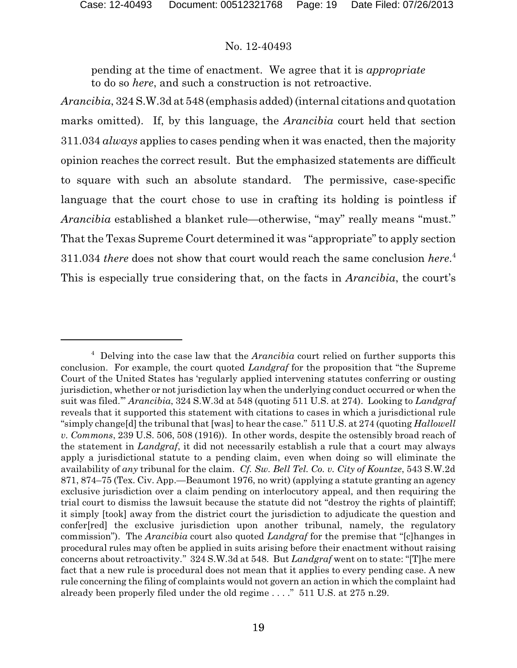pending at the time of enactment. We agree that it is *appropriate* to do so *here*, and such a construction is not retroactive.

*Arancibia*, 324 S.W.3d at 548 (emphasis added) (internal citations and quotation marks omitted). If, by this language, the *Arancibia* court held that section 311.034 *always* applies to cases pending when it was enacted, then the majority opinion reaches the correct result. But the emphasized statements are difficult to square with such an absolute standard. The permissive, case-specific language that the court chose to use in crafting its holding is pointless if *Arancibia* established a blanket rule—otherwise, "may" really means "must." That the Texas Supreme Court determined it was "appropriate" to apply section 311.034 *there* does not show that court would reach the same conclusion *here*. 4 This is especially true considering that, on the facts in *Arancibia*, the court's

<sup>4</sup> Delving into the case law that the *Arancibia* court relied on further supports this conclusion. For example, the court quoted *Landgraf* for the proposition that "the Supreme Court of the United States has 'regularly applied intervening statutes conferring or ousting jurisdiction, whether or not jurisdiction lay when the underlying conduct occurred or when the suit was filed.'" *Arancibia*, 324 S.W.3d at 548 (quoting 511 U.S. at 274). Looking to *Landgraf* reveals that it supported this statement with citations to cases in which a jurisdictional rule "simply change<sup>[d]</sup> the tribunal that [was] to hear the case." 511 U.S. at 274 (quoting *Hallowell v. Commons*, 239 U.S. 506, 508 (1916)). In other words, despite the ostensibly broad reach of the statement in *Landgraf*, it did not necessarily establish a rule that a court may always apply a jurisdictional statute to a pending claim, even when doing so will eliminate the availability of *any* tribunal for the claim. *Cf. Sw. Bell Tel. Co. v. City of Kountze*, 543 S.W.2d 871, 874–75 (Tex. Civ. App.—Beaumont 1976, no writ) (applying a statute granting an agency exclusive jurisdiction over a claim pending on interlocutory appeal, and then requiring the trial court to dismiss the lawsuit because the statute did not "destroy the rights of plaintiff; it simply [took] away from the district court the jurisdiction to adjudicate the question and confer[red] the exclusive jurisdiction upon another tribunal, namely, the regulatory commission"). The *Arancibia* court also quoted *Landgraf* for the premise that "[c]hanges in procedural rules may often be applied in suits arising before their enactment without raising concerns about retroactivity." 324 S.W.3d at 548. But *Landgraf* went on to state: "[T]he mere fact that a new rule is procedural does not mean that it applies to every pending case. A new rule concerning the filing of complaints would not govern an action in which the complaint had already been properly filed under the old regime . . . ." 511 U.S. at 275 n.29.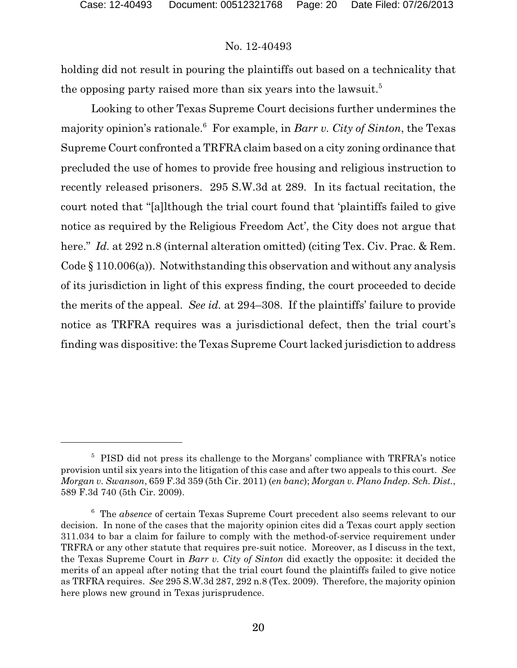holding did not result in pouring the plaintiffs out based on a technicality that the opposing party raised more than six years into the lawsuit.<sup>5</sup>

Looking to other Texas Supreme Court decisions further undermines the majority opinion's rationale.<sup>6</sup> For example, in *Barr v. City of Sinton*, the Texas Supreme Court confronted a TRFRA claim based on a city zoning ordinance that precluded the use of homes to provide free housing and religious instruction to recently released prisoners. 295 S.W.3d at 289. In its factual recitation, the court noted that "[a]lthough the trial court found that 'plaintiffs failed to give notice as required by the Religious Freedom Act', the City does not argue that here." *Id.* at 292 n.8 (internal alteration omitted) (citing Tex. Civ. Prac. & Rem. Code § 110.006(a)). Notwithstanding this observation and without any analysis of its jurisdiction in light of this express finding, the court proceeded to decide the merits of the appeal. *See id.* at 294–308. If the plaintiffs' failure to provide notice as TRFRA requires was a jurisdictional defect, then the trial court's finding was dispositive: the Texas Supreme Court lacked jurisdiction to address

<sup>&</sup>lt;sup>5</sup> PISD did not press its challenge to the Morgans' compliance with TRFRA's notice provision until six years into the litigation of this case and after two appeals to this court. *See Morgan v. Swanson*, 659 F.3d 359 (5th Cir. 2011) (*en banc*); *Morgan v. Plano Indep. Sch. Dist.*, 589 F.3d 740 (5th Cir. 2009).

<sup>6</sup> The *absence* of certain Texas Supreme Court precedent also seems relevant to our decision. In none of the cases that the majority opinion cites did a Texas court apply section 311.034 to bar a claim for failure to comply with the method-of-service requirement under TRFRA or any other statute that requires pre-suit notice. Moreover, as I discuss in the text, the Texas Supreme Court in *Barr v. City of Sinton* did exactly the opposite: it decided the merits of an appeal after noting that the trial court found the plaintiffs failed to give notice as TRFRA requires. *See* 295 S.W.3d 287, 292 n.8 (Tex. 2009). Therefore, the majority opinion here plows new ground in Texas jurisprudence.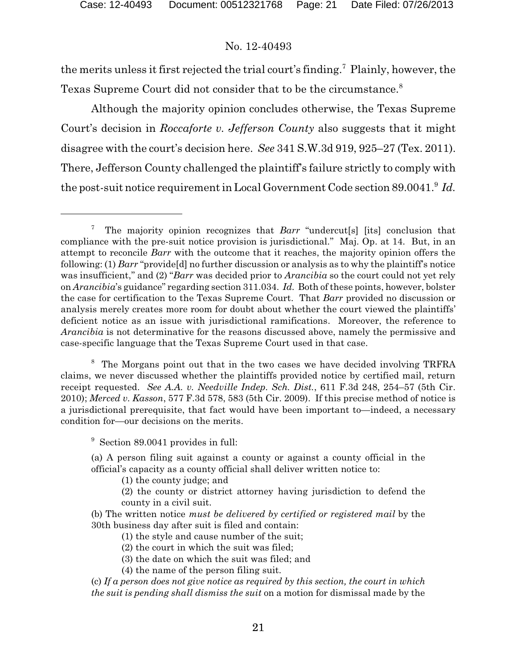the merits unless it first rejected the trial court's finding.<sup>7</sup> Plainly, however, the Texas Supreme Court did not consider that to be the circumstance.<sup>8</sup>

Although the majority opinion concludes otherwise, the Texas Supreme Court's decision in *Roccaforte v. Jefferson County* also suggests that it might disagree with the court's decision here. *See* 341 S.W.3d 919, 925–27 (Tex. 2011). There, Jefferson County challenged the plaintiff's failure strictly to comply with the post-suit notice requirement in Local Government Code section 89.0041.<sup>9</sup> *Id.*

<sup>8</sup> The Morgans point out that in the two cases we have decided involving TRFRA claims, we never discussed whether the plaintiffs provided notice by certified mail, return receipt requested. *See A.A. v. Needville Indep. Sch. Dist.*, 611 F.3d 248, 254–57 (5th Cir. 2010); *Merced v. Kasson*, 577 F.3d 578, 583 (5th Cir. 2009). If this precise method of notice is a jurisdictional prerequisite, that fact would have been important to—indeed, a necessary condition for—our decisions on the merits.

<sup>9</sup> Section 89.0041 provides in full:

(a) A person filing suit against a county or against a county official in the official's capacity as a county official shall deliver written notice to:

(1) the county judge; and

(2) the county or district attorney having jurisdiction to defend the county in a civil suit.

(b) The written notice *must be delivered by certified or registered mail* by the 30th business day after suit is filed and contain:

(1) the style and cause number of the suit;

(2) the court in which the suit was filed;

(3) the date on which the suit was filed; and

(4) the name of the person filing suit.

(c) *If a person does not give notice as required by this section, the court in which the suit is pending shall dismiss the suit* on a motion for dismissal made by the

<sup>7</sup> The majority opinion recognizes that *Barr* "undercut[s] [its] conclusion that compliance with the pre-suit notice provision is jurisdictional." Maj. Op. at 14. But, in an attempt to reconcile *Barr* with the outcome that it reaches, the majority opinion offers the following: (1) *Barr* "provide[d] no further discussion or analysis as to why the plaintiff's notice was insufficient," and (2) "*Barr* was decided prior to *Arancibia* so the court could not yet rely on *Arancibia*'s guidance" regarding section 311.034. *Id.* Both ofthese points, however, bolster the case for certification to the Texas Supreme Court. That *Barr* provided no discussion or analysis merely creates more room for doubt about whether the court viewed the plaintiffs' deficient notice as an issue with jurisdictional ramifications. Moreover, the reference to *Arancibia* is not determinative for the reasons discussed above, namely the permissive and case-specific language that the Texas Supreme Court used in that case.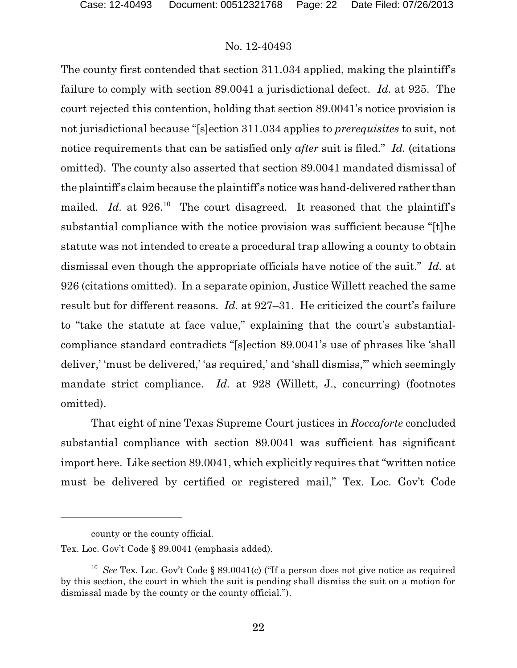The county first contended that section 311.034 applied, making the plaintiff's failure to comply with section 89.0041 a jurisdictional defect. *Id.* at 925. The court rejected this contention, holding that section 89.0041's notice provision is not jurisdictional because "[s]ection 311.034 applies to *prerequisites* to suit, not notice requirements that can be satisfied only *after* suit is filed." *Id.* (citations omitted). The county also asserted that section 89.0041 mandated dismissal of the plaintiff's claim because the plaintiff's notice was hand-delivered rather than mailed. *Id.* at 926.<sup>10</sup> The court disagreed. It reasoned that the plaintiff's substantial compliance with the notice provision was sufficient because "[t]he statute was not intended to create a procedural trap allowing a county to obtain dismissal even though the appropriate officials have notice of the suit." *Id.* at 926 (citations omitted). In a separate opinion, Justice Willett reached the same result but for different reasons. *Id.* at 927–31. He criticized the court's failure to "take the statute at face value," explaining that the court's substantialcompliance standard contradicts "[s]ection 89.0041's use of phrases like 'shall deliver,' 'must be delivered,' 'as required,' and 'shall dismiss,'" which seemingly mandate strict compliance. *Id.* at 928 (Willett, J., concurring) (footnotes omitted).

That eight of nine Texas Supreme Court justices in *Roccaforte* concluded substantial compliance with section 89.0041 was sufficient has significant import here. Like section 89.0041, which explicitly requires that "written notice must be delivered by certified or registered mail," Tex. Loc. Gov't Code

county or the county official.

Tex. Loc. Gov't Code § 89.0041 (emphasis added).

<sup>10</sup> *See* Tex. Loc. Gov't Code § 89.0041(c) ("If a person does not give notice as required by this section, the court in which the suit is pending shall dismiss the suit on a motion for dismissal made by the county or the county official.").